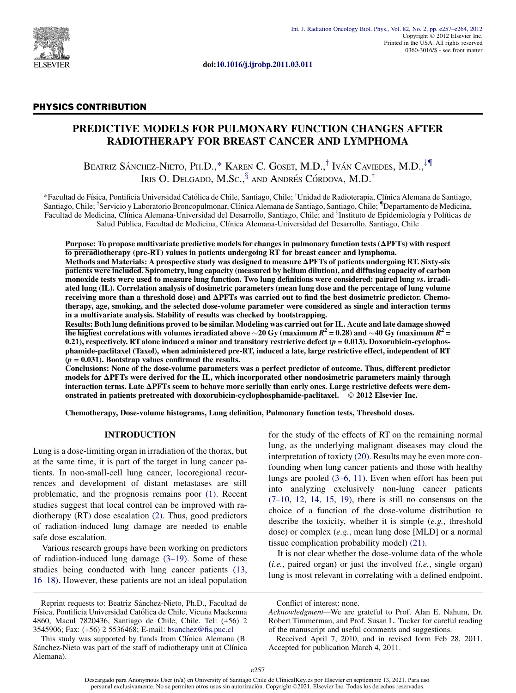

doi:[10.1016/j.ijrobp.2011.03.011](http://dx.doi.org/10.1016/j.ijrobp.2011.03.011)

# PHYSICS CONTRIBUTION

# PREDICTIVE MODELS FOR PULMONARY FUNCTION CHANGES AFTER RADIOTHERAPY FOR BREAST CANCER AND LYMPHOMA

BEATRIZ SÁNCHEZ-NIETO, PH.D.,\* KAREN C. GOSET, M.D.,<sup>†</sup> IVÁN CAVIEDES, M.D.,<sup>‡¶</sup> IRIS O. DELGADO, M.Sc.,  $\frac{5}{3}$  and Andrés Córdova, M.D.<sup>†</sup>

\*Facultad de Física, Pontificia Universidad Católica de Chile, Santiago, Chile; †Unidad de Radioterapia, Clínica Alemana de Santiago, Santiago, Chile; <sup>†</sup>Servicio y Laboratorio Broncopulmonar, Clínica Alemana de Santiago, Santiago, Chile; <sup>†</sup>Departamento de Medicina, Facultad de Medicina, Clínica Alemana-Universidad del Desarrollo, Santiago, Chile; and <sup>s</sup>Instituto de Epidemiología y Políticas de Salud Publica, Facultad de Medicina, Clınica Alemana-Universidad del Desarrollo, Santiago, Chile

Purpose: To propose multivariate predictive models for changes in pulmonary function tests  $(\Delta PFTs)$  with respect to preradiotherapy (pre-RT) values in patients undergoing RT for breast cancer and lymphoma.

Methods and Materials: A prospective study was designed to measure  $\Delta$ PFTs of patients undergoing RT. Sixty-six patients were included. Spirometry, lung capacity (measured by helium dilution), and diffusing capacity of carbon monoxide tests were used to measure lung function. Two lung definitions were considered: paired lung vs. irradiated lung (IL). Correlation analysis of dosimetric parameters (mean lung dose and the percentage of lung volume receiving more than a threshold dose) and  $\Delta$ PFTs was carried out to find the best dosimetric predictor. Chemotherapy, age, smoking, and the selected dose-volume parameter were considered as single and interaction terms in a multivariate analysis. Stability of results was checked by bootstrapping.

Results: Both lung definitions proved to be similar. Modeling was carried out for IL. Acute and late damage showed the highest correlations with volumes irradiated above  $\sim$ 20 Gy (maximum  $R^2$  = 0.28) and  $\sim$ 40 Gy (maximum  $R^2$  = 0.21), respectively. RT alone induced a minor and transitory restrictive defect  $(p = 0.013)$ . Doxorubicin-cyclophosphamide-paclitaxel (Taxol), when administered pre-RT, induced a late, large restrictive effect, independent of RT  $(p = 0.031)$ . Bootstrap values confirmed the results.

Conclusions: None of the dose-volume parameters was a perfect predictor of outcome. Thus, different predictor  $\overline{\text{models}}$  for  $\Delta$ PFTs were derived for the IL, which incorporated other nondosimetric parameters mainly through interaction terms. Late DPFTs seem to behave more serially than early ones. Large restrictive defects were demonstrated in patients pretreated with doxorubicin-cyclophosphamide-paclitaxel. © 2012 Elsevier Inc.

Chemotherapy, Dose-volume histograms, Lung definition, Pulmonary function tests, Threshold doses.

# INTRODUCTION

Lung is a dose-limiting organ in irradiation of the thorax, but at the same time, it is part of the target in lung cancer patients. In non-small-cell lung cancer, locoregional recurrences and development of distant metastases are still problematic, and the prognosis remains poor [\(1\)](#page-7-0). Recent studies suggest that local control can be improved with radiotherapy (RT) dose escalation [\(2\).](#page-7-0) Thus, good predictors of radiation-induced lung damage are needed to enable safe dose escalation.

Various research groups have been working on predictors of radiation-induced lung damage [\(3–19\).](#page-7-0) Some of these studies being conducted with lung cancer patients [\(13,](#page-7-0) [16–18\)](#page-7-0). However, these patients are not an ideal population for the study of the effects of RT on the remaining normal lung, as the underlying malignant diseases may cloud the interpretation of toxicty [\(20\)](#page-7-0). Results may be even more confounding when lung cancer patients and those with healthy lungs are pooled [\(3–6, 11\)](#page-7-0). Even when effort has been put into analyzing exclusively non-lung cancer patients  $(7-10, 12, 14, 15, 19)$ , there is still no consensus on the choice of a function of the dose-volume distribution to describe the toxicity, whether it is simple (e.g., threshold dose) or complex (e.g., mean lung dose [MLD] or a normal tissue complication probability model) [\(21\).](#page-7-0)

It is not clear whether the dose-volume data of the whole  $(i.e., paired organ)$  or just the involved  $(i.e., single organ)$ lung is most relevant in correlating with a defined endpoint.

Reprint requests to: Beatriz Sánchez-Nieto, Ph.D., Facultad de Física, Pontificia Universidad Católica de Chile, Vicuña Mackenna 4860, Macul 7820436, Santiago de Chile, Chile. Tel: (+56) 2 3545906; Fax: (+56) 2 5536468; E-mail: [bsanchez@fis.puc.cl](mailto:bsanchez@fis.puc.cl)

This study was supported by funds from Clínica Alemana (B. Sánchez-Nieto was part of the staff of radiotherapy unit at Clínica Alemana).

Conflict of interest: none.

Acknowledgment—We are grateful to Prof. Alan E. Nahum, Dr. Robert Timmerman, and Prof. Susan L. Tucker for careful reading of the manuscript and useful comments and suggestions.

Received April 7, 2010, and in revised form Feb 28, 2011. Accepted for publication March 4, 2011.

Descargado para Anonymous User (n/a) en University of Santiago Chile de ClinicalKey es por Elsevier en septiembre 13, 2021. Para uso personal exclusivamente. No se permiten otros usos sin autorización. Copyright ©2021. Els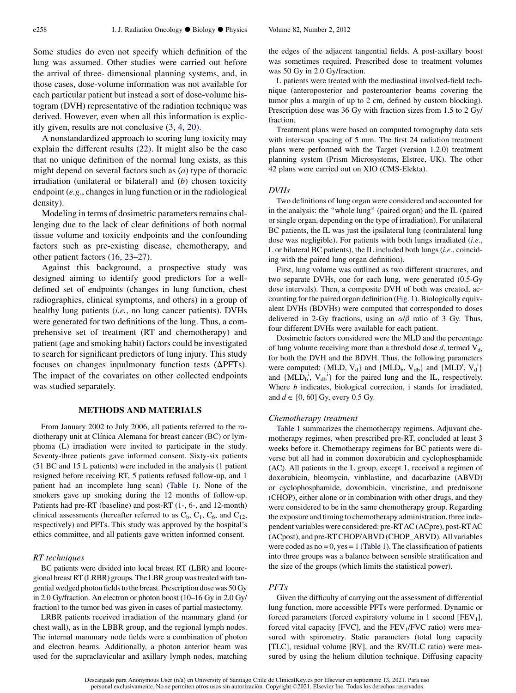Some studies do even not specify which definition of the lung was assumed. Other studies were carried out before the arrival of three- dimensional planning systems, and, in those cases, dose-volume information was not available for each particular patient but instead a sort of dose-volume histogram (DVH) representative of the radiation technique was derived. However, even when all this information is explicitly given, results are not conclusive [\(3, 4, 20\)](#page-7-0).

A nonstandardized approach to scoring lung toxicity may explain the different results [\(22\).](#page-7-0) It might also be the case that no unique definition of the normal lung exists, as this might depend on several factors such as (a) type of thoracic irradiation (unilateral or bilateral) and  $(b)$  chosen toxicity endpoint (e.g., changes in lung function or in the radiological density).

Modeling in terms of dosimetric parameters remains challenging due to the lack of clear definitions of both normal tissue volume and toxicity endpoints and the confounding factors such as pre-existing disease, chemotherapy, and other patient factors [\(16, 23–27\)](#page-7-0).

Against this background, a prospective study was designed aiming to identify good predictors for a welldefined set of endpoints (changes in lung function, chest radiographies, clinical symptoms, and others) in a group of healthy lung patients (*i.e.*, no lung cancer patients). DVHs were generated for two definitions of the lung. Thus, a comprehensive set of treatment (RT and chemotherapy) and patient (age and smoking habit) factors could be investigated to search for significant predictors of lung injury. This study focuses on changes inpulmonary function tests  $(\Delta PFTs)$ . The impact of the covariates on other collected endpoints was studied separately.

### METHODS AND MATERIALS

From January 2002 to July 2006, all patients referred to the radiotherapy unit at Clínica Alemana for breast cancer (BC) or lymphoma (L) irradiation were invited to participate in the study. Seventy-three patients gave informed consent. Sixty-six patients (51 BC and 15 L patients) were included in the analysis (1 patient resigned before receiving RT, 5 patients refused follow-up, and 1 patient had an incomplete lung scan) ([Table 1\)](#page-2-0). None of the smokers gave up smoking during the 12 months of follow-up. Patients had pre-RT (baseline) and post-RT (1-, 6-, and 12-month) clinical assessments (hereafter referred to as  $C_b$ ,  $C_1$ ,  $C_6$ , and  $C_{12}$ , respectively) and PFTs. This study was approved by the hospital's ethics committee, and all patients gave written informed consent.

# RT techniques

BC patients were divided into local breast RT (LBR) and locoregional breast RT (LRBR) groups. TheLBR group was treated with tangential wedged photon fields to the breast. Prescription dose was 50 Gy in 2.0 Gy/fraction. An electron or photon boost (10–16 Gy in 2.0 Gy/ fraction) to the tumor bed was given in cases of partial mastectomy.

LRBR patients received irradiation of the mammary gland (or chest wall), as in the LBBR group, and the regional lymph nodes. The internal mammary node fields were a combination of photon and electron beams. Additionally, a photon anterior beam was used for the supraclavicular and axillary lymph nodes, matching the edges of the adjacent tangential fields. A post-axillary boost was sometimes required. Prescribed dose to treatment volumes was 50 Gy in 2.0 Gy/fraction.

L patients were treated with the mediastinal involved-field technique (anteroposterior and posteroanterior beams covering the tumor plus a margin of up to 2 cm, defined by custom blocking). Prescription dose was 36 Gy with fraction sizes from 1.5 to 2 Gy/ fraction.

Treatment plans were based on computed tomography data sets with interscan spacing of 5 mm. The first 24 radiation treatment plans were performed with the Target (version 1.2.0) treatment planning system (Prism Microsystems, Elstree, UK). The other 42 plans were carried out on XIO (CMS-Elekta).

### DVHs

Two definitions of lung organ were considered and accounted for in the analysis: the ''whole lung'' (paired organ) and the IL (paired or single organ, depending on the type of irradiation). For unilateral BC patients, the IL was just the ipsilateral lung (contralateral lung dose was negligible). For patients with both lungs irradiated (i.e., L or bilateral BC patients), the IL included both lungs (i.e., coinciding with the paired lung organ definition).

First, lung volume was outlined as two different structures, and two separate DVHs, one for each lung, were generated (0.5-Gy dose intervals). Then, a composite DVH of both was created, accounting for the paired organ definition ([Fig. 1](#page-2-0)). Biologically equivalent DVHs (BDVHs) were computed that corresponded to doses delivered in 2-Gy fractions, using an  $\alpha/\beta$  ratio of 3 Gy. Thus, four different DVHs were available for each patient.

Dosimetric factors considered were the MLD and the percentage of lung volume receiving more than a threshold dose  $d$ , termed  $V_d$ , for both the DVH and the BDVH. Thus, the following parameters were computed: {MLD,  $V_d$ } and {MLD<sub>b</sub>,  $V_{db}$ } and {MLD<sup>i</sup>,  $V_d^i$ } and  $\{MLD_b^i, V_{db}^i\}$  for the paired lung and the IL, respectively. Where  $b$  indicates, biological correction, i stands for irradiated, and  $d \in [0, 60]$  Gy, every 0.5 Gy.

#### Chemotherapy treatment

[Table 1](#page-2-0) summarizes the chemotherapy regimens. Adjuvant chemotherapy regimes, when prescribed pre-RT, concluded at least 3 weeks before it. Chemotherapy regimens for BC patients were diverse but all had in common doxorubicin and cyclophosphamide (AC). All patients in the L group, except 1, received a regimen of doxorubicin, bleomycin, vinblastine, and dacarbazine (ABVD) or cyclophosphamide, doxorubicin, vincristine, and prednisone (CHOP), either alone or in combination with other drugs, and they were considered to be in the same chemotherapy group. Regarding the exposure and timing to chemotherapy administration, three independent variables were considered: pre-RTAC (ACpre), post-RTAC (ACpost), and pre-RT CHOP/ABVD (CHOP\_ABVD). All variables were coded as  $no = 0$ ,  $yes = 1$  [\(Table 1](#page-2-0)). The classification of patients into three groups was a balance between sensible stratification and the size of the groups (which limits the statistical power).

# PFTs

Given the difficulty of carrying out the assessment of differential lung function, more accessible PFTs were performed. Dynamic or forced parameters (forced expiratory volume in 1 second [FEV<sub>1</sub>], forced vital capacity [FVC], and the  $FEV<sub>1</sub>/FVC$  ratio) were measured with spirometry. Static parameters (total lung capacity [TLC], residual volume [RV], and the RV/TLC ratio) were measured by using the helium dilution technique. Diffusing capacity

Descargado para Anonymous User (n/a) en University of Santiago Chile de ClinicalKey es por Elsevier en septiembre 13, 2021. Para uso personal exclusivamente. No se permiten otros usos sin autorización. Copyright ©2021. Els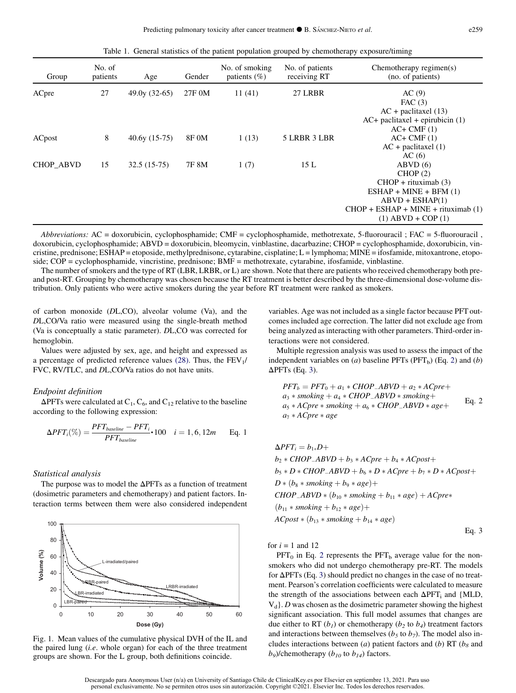Table 1. General statistics of the patient population grouped by chemotherapy exposure/timing

<span id="page-2-0"></span>

| Group            | No. of<br>patients | Age            | Gender | No. of smoking<br>patients $(\%)$ | No. of patients<br>receiving RT | Chemotherapy regimen $(s)$<br>(no. of patients) |
|------------------|--------------------|----------------|--------|-----------------------------------|---------------------------------|-------------------------------------------------|
| ACpre            | 27                 | $49.0y(32-65)$ | 27F 0M | 11(41)                            | 27 LRBR                         | AC(9)<br>FAC $(3)$                              |
|                  |                    |                |        |                                   |                                 | $AC +$ paclitaxel (13)                          |
|                  |                    |                |        |                                   |                                 | $AC+$ paclitaxel + epirubicin (1)               |
|                  |                    |                |        |                                   |                                 | $AC+CMF(1)$                                     |
| ACpost           | 8                  | $40.6y(15-75)$ | 8F 0M  | 1(13)                             | 5 LRBR 3 LBR                    | $AC+CMF(1)$                                     |
|                  |                    |                |        |                                   |                                 | $AC +$ paclitaxel $(1)$                         |
|                  |                    |                |        |                                   |                                 | AC(6)                                           |
| <b>CHOP ABVD</b> | 15                 | $32.5(15-75)$  | 7F 8M  | 1(7)                              | 15L                             | ABVD(6)                                         |
|                  |                    |                |        |                                   |                                 | CHOP(2)                                         |
|                  |                    |                |        |                                   |                                 | $CHOP + rituximab(3)$                           |
|                  |                    |                |        |                                   |                                 | $ESHAP + MINE + BFM(1)$                         |
|                  |                    |                |        |                                   |                                 | $ABVD + ESHAP(1)$                               |
|                  |                    |                |        |                                   |                                 | $CHOP + ESHAP + MINE + rituximab(1)$            |
|                  |                    |                |        |                                   |                                 | $(1)$ ABVD + COP $(1)$                          |

Abbreviations: AC = doxorubicin, cyclophosphamide; CMF = cyclophosphamide, methotrexate, 5-fluorouracil ; FAC = 5-fluorouracil , doxorubicin, cyclophosphamide; ABVD = doxorubicin, bleomycin, vinblastine, dacarbazine; CHOP = cyclophosphamide, doxorubicin, vincristine, prednisone; ESHAP = etoposide, methylprednisone, cytarabine, cisplatine; L = lymphoma; MINE = ifosfamide, mitoxantrone, etoposide; COP = cyclophosphamide, vincristine, prednisone; BMF = methotrexate, cytarabine, ifosfamide, vinblastine.

The number of smokers and the type of RT (LBR, LRBR, or L) are shown. Note that there are patients who received chemotherapy both preand post-RT. Grouping by chemotherapy was chosen because the RT treatment is better described by the three-dimensional dose-volume distribution. Only patients who were active smokers during the year before RT treatment were ranked as smokers.

of carbon monoxide (DL,CO), alveolar volume (Va), and the DL,CO/Va ratio were measured using the single-breath method (Va is conceptually a static parameter). DL,CO was corrected for hemoglobin.

Values were adjusted by sex, age, and height and expressed as a percentage of predicted reference values [\(28\).](#page-7-0) Thus, the  $FEV<sub>1</sub>/$ FVC, RV/TLC, and DL,CO/Va ratios do not have units.

### Endpoint definition

 $\Delta$ PFTs were calculated at C<sub>1</sub>, C<sub>6</sub>, and C<sub>12</sub> relative to the baseline according to the following expression:

$$
\Delta PFT_i(\%) = \frac{PFT_{baseline} - PFT_i}{PFT_{baseline}} \cdot 100 \quad i = 1, 6, 12m \quad \text{Eq. 1}
$$

#### Statistical analysis

The purpose was to model the  $\Delta$ PFTs as a function of treatment (dosimetric parameters and chemotherapy) and patient factors. Interaction terms between them were also considered independent



Fig. 1. Mean values of the cumulative physical DVH of the IL and the paired lung  $(i.e.$  whole organ) for each of the three treatment groups are shown. For the L group, both definitions coincide.

variables. Age was not included as a single factor because PFT outcomes included age correction. The latter did not exclude age from being analyzed as interacting with other parameters. Third-order interactions were not considered.

Multiple regression analysis was used to assess the impact of the independent variables on  $(a)$  baseline PFTs (PFT<sub>b</sub>) (Eq. 2) and  $(b)$  $\Delta$ PFTs (Eq. 3).

$$
PFT_b = PFT_0 + a_1 * CHOP \_ABVD + a_2 * ACpre +a_3 * smoking + a_4 * CHOP \_ABVD * smoking +a_5 * ACpre * smoking + a_6 * CHOP \_ABVD * age +a_7 * ACpre * age
$$
Eq. 2

 $\Delta PFT_i = b_{1*}D +$  $b_2 * CHOP\_ABVD + b_3 * ACpre + b_4 * ACpost+$  $b_5 * D * CHOP\_ABVD + b_6 * D * ACpre + b_7 * D * ACpost+$  $D * (b_8 * \textit{smoking} + b_9 * \textit{age}) +$  $CHOP$ <sub>-</sub> $ABVD * (b_{10} * smoking + b_{11} * age) + ACpre*$  $(b_{11} * \text{smoking} + b_{12} * age) +$  $ACpost * (b_{13} * smoking + b_{14} * age)$ 

for  $i = 1$  and 12

 $PFT_0$  in Eq. 2 represents the  $PFT_b$  average value for the nonsmokers who did not undergo chemotherapy pre-RT. The models for  $\Delta$ PFTs (Eq. 3) should predict no changes in the case of no treatment. Pearson's correlation coefficients were calculated to measure the strength of the associations between each  $\Delta PFT_i$  and {MLD,  $V_d$ . D was chosen as the dosimetric parameter showing the highest significant association. This full model assumes that changes are due either to RT  $(b_1)$  or chemotherapy  $(b_2$  to  $b_4)$  treatment factors and interactions between themselves ( $b_5$  to  $b_7$ ). The model also includes interactions between (a) patient factors and (b) RT ( $b_8$  and  $b_9$ )/chemotherapy ( $b_{10}$  to  $b_{14}$ ) factors.

Eq. 3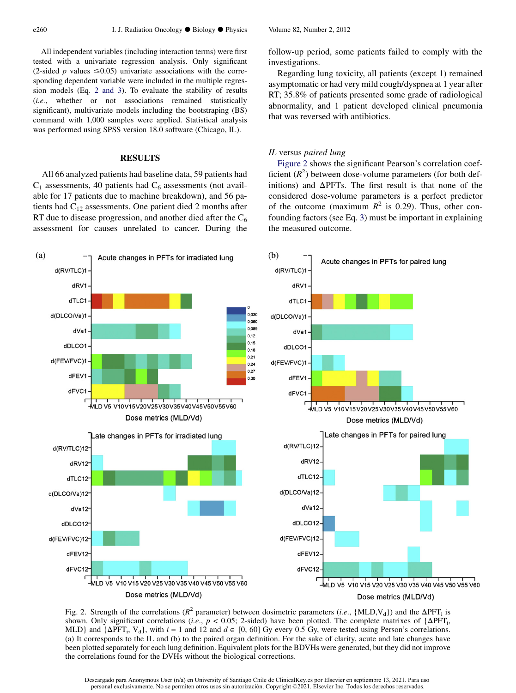<span id="page-3-0"></span>All independent variables (including interaction terms) were first tested with a univariate regression analysis. Only significant (2-sided p values  $\leq 0.05$ ) univariate associations with the corresponding dependent variable were included in the multiple regression models (Eq. 2 and 3). To evaluate the stability of results (i.e., whether or not associations remained statistically significant), multivariate models including the bootstraping (BS) command with 1,000 samples were applied. Statistical analysis was performed using SPSS version 18.0 software (Chicago, IL).

# RESULTS

All 66 analyzed patients had baseline data, 59 patients had  $C_1$  assessments, 40 patients had  $C_6$  assessments (not available for 17 patients due to machine breakdown), and 56 patients had  $C_{12}$  assessments. One patient died 2 months after RT due to disease progression, and another died after the  $C_6$ assessment for causes unrelated to cancer. During the follow-up period, some patients failed to comply with the investigations.

Regarding lung toxicity, all patients (except 1) remained asymptomatic or had very mild cough/dyspnea at 1 year after RT; 35.8% of patients presented some grade of radiological abnormality, and 1 patient developed clinical pneumonia that was reversed with antibiotics.

# IL versus paired lung

Figure 2 shows the significant Pearson's correlation coefficient  $(R^2)$  between dose-volume parameters (for both definitions) and  $\Delta$ PFTs. The first result is that none of the considered dose-volume parameters is a perfect predictor of the outcome (maximum  $R^2$  is 0.29). Thus, other confounding factors (see Eq. 3) must be important in explaining the measured outcome.



Fig. 2. Strength of the correlations ( $R^2$  parameter) between dosimetric parameters (*i.e.*, {MLD,V<sub>d</sub>}) and the  $\Delta PFT$ <sub>i</sub> is shown. Only significant correlations (*i.e.*,  $p < 0.05$ ; 2-sided) have been plotted. The complete matrixes of  $\{\Delta PFT_i,$ MLD} and  $\{\Delta PFT_i, V_d\}$ , with  $i = 1$  and 12 and  $d \in [0, 60]$  Gy every 0.5 Gy, were tested using Person's correlations. (a) It corresponds to the IL and (b) to the paired organ definition. For the sake of clarity, acute and late changes have been plotted separately for each lung definition. Equivalent plots for the BDVHs were generated, but they did not improve the correlations found for the DVHs without the biological corrections.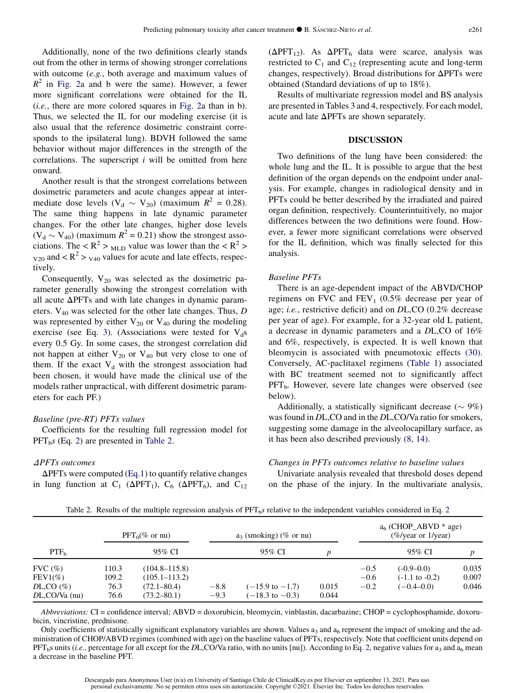Additionally, none of the two definitions clearly stands out from the other in terms of showing stronger correlations with outcome (e.g., both average and maximum values of  $R^2$  in [Fig. 2a](#page-3-0) and b were the same). However, a fewer more significant correlations were obtained for the IL (i.e., there are more colored squares in [Fig. 2](#page-3-0)a than in b). Thus, we selected the IL for our modeling exercise (it is also usual that the reference dosimetric constraint corresponds to the ipsilateral lung). BDVH followed the same behavior without major differences in the strength of the correlations. The superscript  $i$  will be omitted from here onward.

Another result is that the strongest correlations between dosimetric parameters and acute changes appear at intermediate dose levels ( $V_d \sim V_{20}$ ) (maximum  $R^2 = 0.28$ ). The same thing happens in late dynamic parameter changes. For the other late changes, higher dose levels  $(V_d \sim V_{40})$  (maximum  $R^2 = 0.21$ ) show the strongest associations. The <  $R^2$  > <sub>MLD</sub> value was lower than the <  $R^2$  >  $_{\text{V20}}$  and  $\langle R^2 \rangle$   $_{\text{V40}}$  values for acute and late effects, respectively.

Consequently,  $V_{20}$  was selected as the dosimetric parameter generally showing the strongest correlation with all acute  $\Delta$ PFTs and with late changes in dynamic parameters.  $V_{40}$  was selected for the other late changes. Thus, D was represented by either  $V_{20}$  or  $V_{40}$  during the modeling exercise (see Eq. 3). (Associations were tested for  $V<sub>d</sub>$ s every 0.5 Gy. In some cases, the strongest correlation did not happen at either  $V_{20}$  or  $V_{40}$  but very close to one of them. If the exact  $V_d$  with the strongest association had been chosen, it would have made the clinical use of the models rather unpractical, with different dosimetric parameters for each PF.)

#### Baseline (pre-RT) PFTs values

Coefficients for the resulting full regression model for  $PFT<sub>b</sub>$ s (Eq. 2) are presented in Table 2.

## DPFTs outcomes

 $\Delta$ PFTs were computed (Eq.1) to quantify relative changes in lung function at C<sub>1</sub> ( $\Delta PFT_1$ ), C<sub>6</sub> ( $\Delta PFT_6$ ), and C<sub>12</sub>  $(\Delta PFT_{12})$ . As  $\Delta PFT_6$  data were scarce, analysis was restricted to  $C_1$  and  $C_{12}$  (representing acute and long-term changes, respectively). Broad distributions for  $\Delta$ PFTs were obtained (Standard deviations of up to 18%).

Results of multivariate regression model and BS analysis are presented in Tables 3 and 4, respectively. For each model, acute and late  $\Delta$ PFTs are shown separately.

### DISCUSSION

Two definitions of the lung have been considered: the whole lung and the IL. It is possible to argue that the best definition of the organ depends on the endpoint under analysis. For example, changes in radiological density and in PFTs could be better described by the irradiated and paired organ definition, respectively. Counterintuitively, no major differences between the two definitions were found. However, a fewer more significant correlations were observed for the IL definition, which was finally selected for this analysis.

### Baseline PFTs

There is an age-dependent impact of the ABVD/CHOP regimens on FVC and  $FEV_1$  (0.5% decrease per year of age; i.e., restrictive deficit) and on DL,CO (0.2% decrease per year of age). For example, for a 32-year old L patient, a decrease in dynamic parameters and a DL,CO of 16% and 6%, respectively, is expected. It is well known that bleomycin is associated with pneumotoxic effects [\(30\).](#page-7-0) Conversely, AC-paclitaxel regimens ([Table 1\)](#page-2-0) associated with BC treatment seemed not to significantly affect  $PFT_b$ . However, severe late changes were observed (see below).

Additionally, a statistically significant decrease ( $\sim$  9%) was found in DL,CO and in the DL,CO/Va ratio for smokers, suggesting some damage in the alveolocapillary surface, as it has been also described previously [\(8, 14\).](#page-7-0)

## Changes in PFTs outcomes relative to baseline values

Univariate analysis revealed that threshold doses depend on the phase of the injury. In the multivariate analysis,

|                                   |              | $PFT0(\% \text{ or } \text{nu})$   |                  | $a_3$ (smoking) (% or nu)                                |                |        | $a6$ (CHOP_ABVD * age)<br>$(\%$ /year or 1/year) |       |
|-----------------------------------|--------------|------------------------------------|------------------|----------------------------------------------------------|----------------|--------|--------------------------------------------------|-------|
| PTF <sub>b</sub>                  |              | 95% CI                             |                  | 95% CI                                                   |                |        | 95% CI                                           |       |
| $FVC$ $(\%)$                      | 110.3        | $(104.8 - 115.8)$                  |                  |                                                          |                | $-0.5$ | $(-0.9-0.0)$                                     | 0.035 |
| $FEV1(\%)$                        | 109.2        | $(105.1 - 113.2)$                  |                  |                                                          |                | $-0.6$ | $(-1.1 \text{ to } -0.2)$                        | 0.007 |
| $DL,CO$ (%)<br>$DL$ ,CO/Va $(nu)$ | 76.3<br>76.6 | $(72.1 - 80.4)$<br>$(73.2 - 80.1)$ | $-8.8$<br>$-9.3$ | $(-15.9 \text{ to } -1.7)$<br>$(-18.3 \text{ to } -0.3)$ | 0.015<br>0.044 | $-0.2$ | $(-0.4 - 0.0)$                                   | 0.046 |

Table 2. Results of the multiple regression analysis of  $PFT<sub>b</sub>s$  relative to the independent variables considered in Eq. 2

Abbreviations: CI = confidence interval; ABVD = doxorubicin, bleomycin, vinblastin, dacarbazine; CHOP = cyclophosphamide, doxorubicin, vincristine, prednisone.

Only coefficients of statistically significant explanatory variables are shown. Values  $a_3$  and  $a_6$  represent the impact of smoking and the administration of CHOP/ABVD regimes (combined with age) on the baseline values of PFTs, respectively. Note that coefficient units depend on  $PFT<sub>b</sub>$ s units (*i.e.*, percentage for all except for the DL,CO/Va ratio, with no units [nu]). According to Eq. 2, negative values for a<sub>3</sub> and a<sub>6</sub> mean a decrease in the baseline PFT.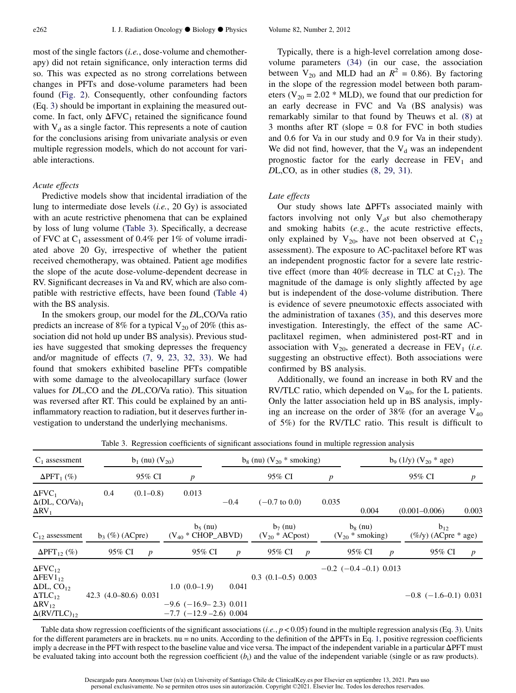most of the single factors (i.e., dose-volume and chemotherapy) did not retain significance, only interaction terms did so. This was expected as no strong correlations between changes in PFTs and dose-volume parameters had been found ([Fig. 2\)](#page-3-0). Consequently, other confounding factors (Eq. 3) should be important in explaining the measured outcome. In fact, only  $\Delta$ FVC<sub>1</sub> retained the significance found with  $V_d$  as a single factor. This represents a note of caution for the conclusions arising from univariate analysis or even multiple regression models, which do not account for variable interactions.

### Acute effects

Predictive models show that incidental irradiation of the lung to intermediate dose levels (i.e., 20 Gy) is associated with an acute restrictive phenomena that can be explained by loss of lung volume (Table 3). Specifically, a decrease of FVC at  $C_1$  assessment of 0.4% per 1% of volume irradiated above 20 Gy, irrespective of whether the patient received chemotherapy, was obtained. Patient age modifies the slope of the acute dose-volume-dependent decrease in RV. Significant decreases in Va and RV, which are also compatible with restrictive effects, have been found ([Table 4\)](#page-6-0) with the BS analysis.

In the smokers group, our model for the DL,CO/Va ratio predicts an increase of 8% for a typical  $V_{20}$  of 20% (this association did not hold up under BS analysis). Previous studies have suggested that smoking depresses the frequency and/or magnitude of effects [\(7, 9, 23, 32, 33\).](#page-7-0) We had found that smokers exhibited baseline PFTs compatible with some damage to the alveolocapillary surface (lower values for DL,CO and the DL,CO/Va ratio). This situation was reversed after RT. This could be explained by an antiinflammatory reaction to radiation, but it deserves further investigation to understand the underlying mechanisms.

Typically, there is a high-level correlation among dosevolume parameters [\(34\)](#page-7-0) (in our case, the association between  $V_{20}$  and MLD had an  $R^2 = 0.86$ ). By factoring in the slope of the regression model between both parameters ( $V_{20}$  = 2.02  $*$  MLD), we found that our prediction for an early decrease in FVC and Va (BS analysis) was remarkably similar to that found by Theuws et al. [\(8\)](#page-7-0) at 3 months after RT (slope = 0.8 for FVC in both studies and 0.6 for Va in our study and 0.9 for Va in their study). We did not find, however, that the  $V_d$  was an independent prognostic factor for the early decrease in  $FEV<sub>1</sub>$  and DL,CO, as in other studies [\(8, 29, 31\)](#page-7-0).

### Late effects

Our study shows late  $\Delta$ PFTs associated mainly with factors involving not only  $V<sub>d</sub>s$  but also chemotherapy and smoking habits (e.g., the acute restrictive effects, only explained by  $V_{20}$ , have not been observed at  $C_{12}$ assessment). The exposure to AC-paclitaxel before RT was an independent prognostic factor for a severe late restrictive effect (more than 40% decrease in TLC at  $C_{12}$ ). The magnitude of the damage is only slightly affected by age but is independent of the dose-volume distribution. There is evidence of severe pneumotoxic effects associated with the administration of taxanes [\(35\)](#page-7-0), and this deserves more investigation. Interestingly, the effect of the same ACpaclitaxel regimen, when administered post-RT and in association with  $V_{20}$ , generated a decrease in  $FEV_1$  (*i.e.* suggesting an obstructive effect). Both associations were confirmed by BS analysis.

Additionally, we found an increase in both RV and the RV/TLC ratio, which depended on  $V_{40}$ , for the L patients. Only the latter association held up in BS analysis, implying an increase on the order of 38% (for an average  $V_{40}$ of 5%) for the RV/TLC ratio. This result is difficult to

| $C_1$ assessment                                                                                                                                                          |                       | $b_1$ (nu) $(V_{20})$ |                                                                                    |                  | $b_8$ (nu) $(V_{20}$ * smoking)   |                  |                  |                                    |                  | $b_9$ (1/y) ( $V_{20}$ * age)       |                  |  |
|---------------------------------------------------------------------------------------------------------------------------------------------------------------------------|-----------------------|-----------------------|------------------------------------------------------------------------------------|------------------|-----------------------------------|------------------|------------------|------------------------------------|------------------|-------------------------------------|------------------|--|
| $\Delta PFT_1(\%)$                                                                                                                                                        |                       | 95% CI                | $\boldsymbol{p}$                                                                   |                  | 95% CI                            |                  | $\boldsymbol{p}$ |                                    |                  | 95% CI                              | $\boldsymbol{p}$ |  |
| $\Delta$ FVC <sub>1</sub><br>$\Delta (DL, CO/Va)_1$<br>$\Delta$ RV <sub>1</sub>                                                                                           | 0.4                   | $(0.1 - 0.8)$         | 0.013                                                                              | $-0.4$           | $(-0.7 \text{ to } 0.0)$          |                  | 0.035            | 0.004                              |                  | $(0.001 - 0.006)$                   | 0.003            |  |
| $C_{12}$ assessment                                                                                                                                                       | $b_3$ (%) (ACpre)     |                       | $b5$ (nu)<br>$(V_{40} * CHOP_ABVD)$                                                |                  | $b_7$ (nu)<br>$(V_{20} * ACpost)$ |                  |                  | $b_8$ (nu)<br>$(V_{20}$ * smoking) |                  | $b_{12}$<br>$(\%$ /y) (ACpre * age) |                  |  |
| $\Delta PFT_{12}(\%)$                                                                                                                                                     | 95% CI                | $\boldsymbol{p}$      | 95% CI                                                                             | $\boldsymbol{p}$ | 95% CI                            | $\boldsymbol{p}$ |                  | 95% CI                             | $\boldsymbol{p}$ | 95% CI                              | $\boldsymbol{p}$ |  |
| $\Delta$ FVC <sub>12</sub><br>$\Delta$ FEV $1_{12}$<br>$\Delta$ DL, CO <sub>12</sub><br>$\Delta TLC_{12}$<br>$\Delta$ RV <sub>12</sub><br>$\Delta$ (RV/TLC) <sub>12</sub> | 42.3 (4.0-80.6) 0.031 |                       | $1.0(0.0-1.9)$<br>$-9.6$ ( $-16.9 - 2.3$ ) 0.011<br>$-7.7$ ( $-12.9 - 2.6$ ) 0.004 | 0.041            | $0.3$ $(0.1-0.5)$ $0.003$         |                  |                  | $-0.2$ ( $-0.4$ $-0.1$ ) 0.013     |                  | $-0.8$ ( $-1.6-0.1$ ) 0.031         |                  |  |

Table 3. Regression coefficients of significant associations found in multiple regression analysis

Table data show regression coefficients of the significant associations (*i.e.*,  $p < 0.05$ ) found in the multiple regression analysis (Eq. 3). Units for the different parameters are in brackets. nu = no units. According to the definition of the  $\Delta$ PFTs in Eq. 1, positive regression coefficients imply a decrease in the PFT with respect to the baseline value and vice versa. The impact of the independent variable in a particular  $\Delta$ PFT must be evaluated taking into account both the regression coefficient  $(b<sub>i</sub>)$  and the value of the independent variable (single or as raw products).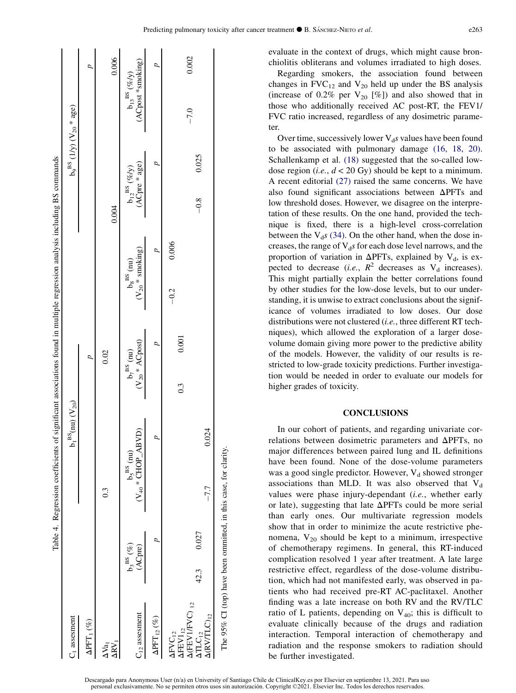<span id="page-6-0"></span>

| C <sub>1</sub> assesment                                                           |                                       |                                                                 | $b_1{}^{\rm BS}(\rm{nu})$ $({\rm V}_{20})$             |                                                | b <sub>9</sub> <sup>BS</sup> (1/y) ( $V_{20}$ <sup>*</sup> age) |                                                            |
|------------------------------------------------------------------------------------|---------------------------------------|-----------------------------------------------------------------|--------------------------------------------------------|------------------------------------------------|-----------------------------------------------------------------|------------------------------------------------------------|
| $\Delta\mathrm{PFT}_1\,(\%)$                                                       |                                       |                                                                 | $\overline{a}$                                         |                                                |                                                                 | $\overline{a}$                                             |
| ARV,<br>$\Delta \mathrm{Va}_1$                                                     |                                       | $0.\overline{3}$                                                | 0.02                                                   |                                                | 0.004                                                           | 0.006                                                      |
| $C_{12}$ assesment                                                                 | $b_3^{\,{\rm BS}}\,{}(\%)$<br>(ACpre) | $(\mathrm{V_{40}}$ * CHOP_ABVD)<br>$b_5^{BS}$ (nu               | $(\mathrm{V}_{20}*\mathrm{ACpost})$<br>$b_7^{BS}$ (nu) | $(V_{20} * \text{smoking})$<br>$b_8^{BS}$ (nu) | (ACpre * age)<br>$b_{12}{}^{BS}$ (%/y)                          | (ACpost *smoking)<br>$b_{13}{}^{\rm BS}\left(\%f_Y\right)$ |
| $\Delta\text{PFT}_{12}$ (%)                                                        |                                       |                                                                 |                                                        |                                                |                                                                 |                                                            |
| $\Delta$ (FEV1/FVC) $_{12}$<br>$\Delta$ FEV $1_{12}$<br>$\Delta$ FVC <sub>12</sub> |                                       |                                                                 | 0.001<br>$0.\overline{3}$                              | 0.006<br>$-0.2$                                |                                                                 | 0.002<br>$-7.0$                                            |
| $\Delta$ (RV/TLC) <sub>12</sub><br>$\Delta TLC_{12}$                               | 0.027<br>42.3                         | 0.024<br>$-7.7$                                                 |                                                        |                                                | 0.025<br>$-0.8$                                                 |                                                            |
|                                                                                    |                                       | The 95% CI (top) have been ommitted, in this case, for clarity. |                                                        |                                                |                                                                 |                                                            |

evaluate in the context of drugs, which might cause bronchiolitis obliterans and volumes irradiated to high doses.

Regarding smokers, the association found between changes in  $FVC_{12}$  and  $V_{20}$  held up under the BS analysis (increase of 0.2% per  $V_{20}$  [%]) and also showed that in those who additionally received AC post-RT, the FEV1/ FVC ratio increased, regardless of any dosimetric parameter.

Over time, successively lower  $V_{d}$ s values have been found to be associated with pulmonary damage [\(16, 18, 20\).](#page-7-0) Schallenkamp et al. [\(18\)](#page-7-0) suggested that the so-called lowdose region (*i.e.*,  $d < 20$  Gy) should be kept to a minimum. A recent editorial [\(27\)](#page-7-0) raised the same concerns. We have also found significant associations between  $\Delta$ PFTs and low threshold doses. However, we disagree on the interpretation of these results. On the one hand, provided the technique is fixed, there is a high-level cross-correlation between the  $V_{d}$ s [\(34\).](#page-7-0) On the other hand, when the dose increases, the range of  $V<sub>d</sub>s$  for each dose level narrows, and the proportion of variation in  $\Delta$ PFTs, explained by V<sub>d</sub>, is expected to decrease (*i.e.*,  $R^2$  decreases as  $V_d$  increases). This might partially explain the better correlations found by other studies for the low-dose levels, but to our understanding, it is unwise to extract conclusions about the significance of volumes irradiated to low doses. Our dose distributions were not clustered (*i.e.*, three different RT techniques), which allowed the exploration of a larger dosevolume domain giving more power to the predictive ability of the models. However, the validity of our results is restricted to low-grade toxicity predictions. Further investigation would be needed in order to evaluate our models for higher grades of toxicity.

### **CONCLUSIONS**

In our cohort of patients, and regarding univariate correlations between dosimetric parameters and  $\Delta$ PFTs, no major differences between paired lung and IL definitions have been found. None of the dose-volume parameters was a good single predictor. However,  $V_d$  showed stronger associations than MLD. It was also observed that  $V_d$ values were phase injury-dependant (i.e., whether early or late), suggesting that late  $\Delta$ PFTs could be more serial than early ones. Our multivariate regression models show that in order to minimize the acute restrictive phenomena,  $V_{20}$  should be kept to a minimum, irrespective of chemotherapy regimens. In general, this RT-induced complication resolved 1 year after treatment. A late large restrictive effect, regardless of the dose-volume distribution, which had not manifested early, was observed in patients who had received pre-RT AC-paclitaxel. Another finding was a late increase on both RV and the RV/TLC ratio of L patients, depending on  $V_{40}$ ; this is difficult to evaluate clinically because of the drugs and radiation interaction. Temporal interaction of chemotherapy and radiation and the response smokers to radiation should be further investigated.

Descargado para Anonymous User (n/a) en University of Santiago Chile de ClinicalKey es por Elsevier en septiembre 13, 2021. Para uso personal exclusivamente. No se permiten otros usos sin autorización. Copyright ©2021. Els